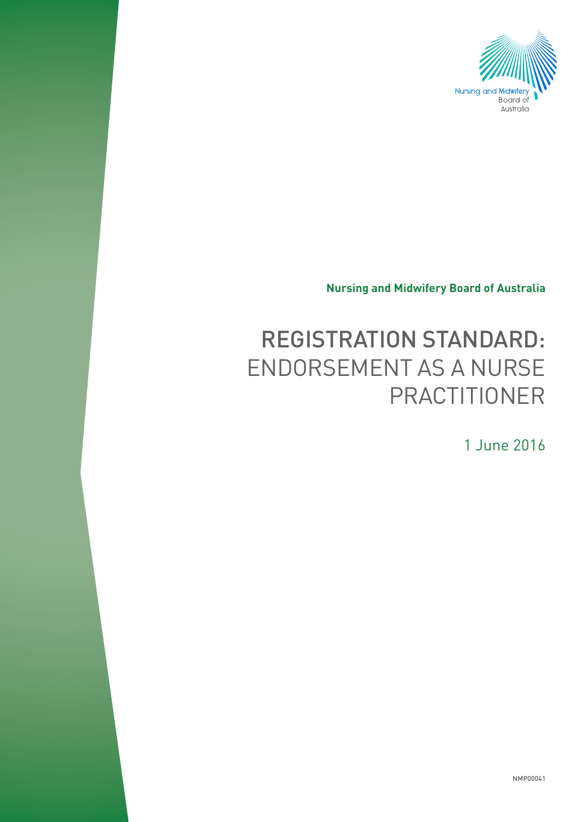

**Nursing and Midwifery Board of Australia**

# REGISTRATION STANDARD: ENDORSEMENT AS A NURSE PRACTITIONER

1 June 2016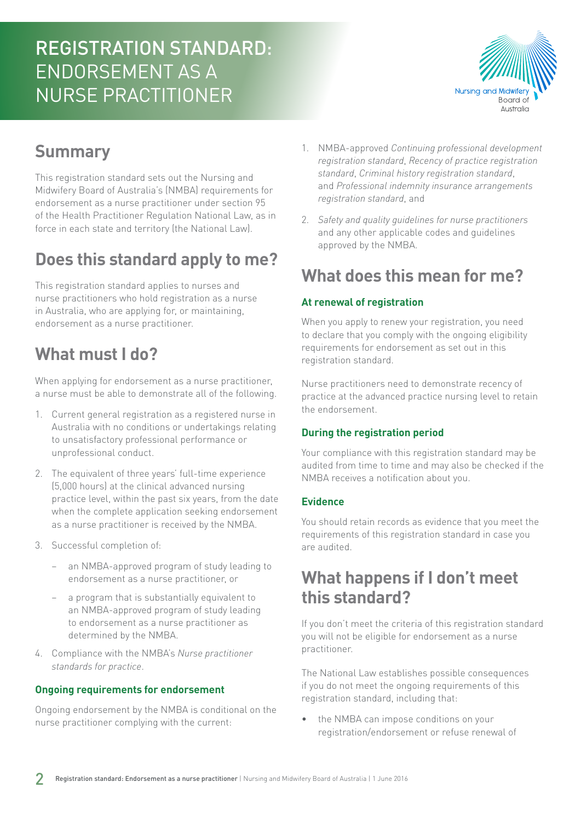## REGISTRATION STANDARD: ENDORSEMENT AS A NURSE PRACTITIONER



## **Summary**

This registration standard sets out the Nursing and Midwifery Board of Australia's (NMBA) requirements for endorsement as a nurse practitioner under section 95 of the Health Practitioner Regulation National Law, as in force in each state and territory (the National Law).

## **Does this standard apply to me?**

This registration standard applies to nurses and nurse practitioners who hold registration as a nurse in Australia, who are applying for, or maintaining, endorsement as a nurse practitioner.

## **What must I do?**

When applying for endorsement as a nurse practitioner, a nurse must be able to demonstrate all of the following.

- 1. Current general registration as a registered nurse in Australia with no conditions or undertakings relating to unsatisfactory professional performance or unprofessional conduct.
- 2. The equivalent of three years' full-time experience (5,000 hours) at the clinical advanced nursing practice level, within the past six years, from the date when the complete application seeking endorsement as a nurse practitioner is received by the NMBA.
- 3. Successful completion of:
	- an NMBA-approved program of study leading to endorsement as a nurse practitioner, or
	- a program that is substantially equivalent to an NMBA-approved program of study leading to endorsement as a nurse practitioner as determined by the NMBA.
- 4. Compliance with the NMBA's *Nurse practitioner standards for practice*.

#### **Ongoing requirements for endorsement**

Ongoing endorsement by the NMBA is conditional on the nurse practitioner complying with the current:

- 1. NMBA-approved *Continuing professional development registration standard*, *Recency of practice registration standard*, *Criminal history registration standard*, and *Professional indemnity insurance arrangements registration standard*, and
- 2. *Safety and quality guidelines for nurse practitioners* and any other applicable codes and guidelines approved by the NMBA.

### **What does this mean for me?**

#### **At renewal of registration**

When you apply to renew your registration, you need to declare that you comply with the ongoing eligibility requirements for endorsement as set out in this registration standard.

Nurse practitioners need to demonstrate recency of practice at the advanced practice nursing level to retain the endorsement.

#### **During the registration period**

Your compliance with this registration standard may be audited from time to time and may also be checked if the NMBA receives a notification about you.

#### **Evidence**

You should retain records as evidence that you meet the requirements of this registration standard in case you are audited.

### **What happens if I don't meet this standard?**

If you don't meet the criteria of this registration standard you will not be eligible for endorsement as a nurse practitioner.

The National Law establishes possible consequences if you do not meet the ongoing requirements of this registration standard, including that:

• the NMBA can impose conditions on your registration/endorsement or refuse renewal of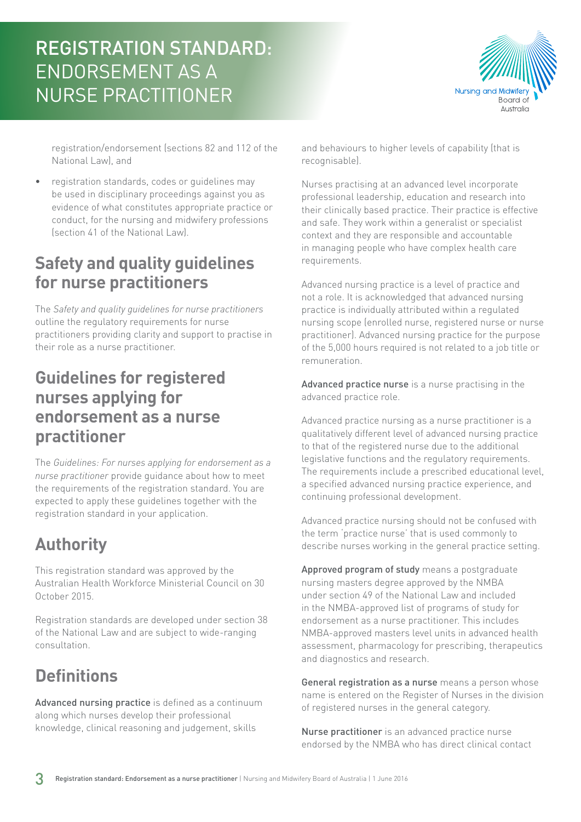## REGISTRATION STANDARD: ENDORSEMENT AS A NURSE PRACTITIONER



registration/endorsement (sections 82 and 112 of the National Law), and

• registration standards, codes or guidelines may be used in disciplinary proceedings against you as evidence of what constitutes appropriate practice or conduct, for the nursing and midwifery professions (section 41 of the National Law).

### **Safety and quality guidelines for nurse practitioners**

The *Safety and quality guidelines for nurse practitioners* outline the regulatory requirements for nurse practitioners providing clarity and support to practise in their role as a nurse practitioner.

### **Guidelines for registered nurses applying for endorsement as a nurse practitioner**

The *Guidelines: For nurses applying for endorsement as a nurse practitioner* provide guidance about how to meet the requirements of the registration standard. You are expected to apply these guidelines together with the registration standard in your application.

### **Authority**

This registration standard was approved by the Australian Health Workforce Ministerial Council on 30 October 2015.

Registration standards are developed under section 38 of the National Law and are subject to wide-ranging consultation.

## **Definitions**

Advanced nursing practice is defined as a continuum along which nurses develop their professional knowledge, clinical reasoning and judgement, skills

and behaviours to higher levels of capability (that is recognisable).

Nurses practising at an advanced level incorporate professional leadership, education and research into their clinically based practice. Their practice is effective and safe. They work within a generalist or specialist context and they are responsible and accountable in managing people who have complex health care requirements.

Advanced nursing practice is a level of practice and not a role. It is acknowledged that advanced nursing practice is individually attributed within a regulated nursing scope (enrolled nurse, registered nurse or nurse practitioner). Advanced nursing practice for the purpose of the 5,000 hours required is not related to a job title or remuneration.

Advanced practice nurse is a nurse practising in the advanced practice role.

Advanced practice nursing as a nurse practitioner is a qualitatively different level of advanced nursing practice to that of the registered nurse due to the additional legislative functions and the regulatory requirements. The requirements include a prescribed educational level, a specified advanced nursing practice experience, and continuing professional development.

Advanced practice nursing should not be confused with the term 'practice nurse' that is used commonly to describe nurses working in the general practice setting.

Approved program of study means a postgraduate nursing masters degree approved by the NMBA under section 49 of the National Law and included in the NMBA-approved list of programs of study for endorsement as a nurse practitioner. This includes NMBA-approved masters level units in advanced health assessment, pharmacology for prescribing, therapeutics and diagnostics and research.

General registration as a nurse means a person whose name is entered on the Register of Nurses in the division of registered nurses in the general category.

Nurse practitioner is an advanced practice nurse endorsed by the NMBA who has direct clinical contact